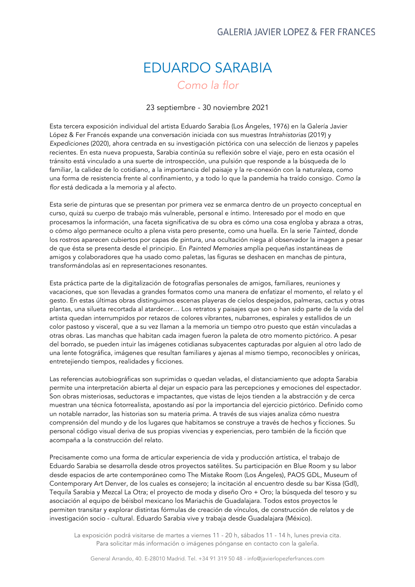## EDUARDO SARABIA *Como la flor*

23 septiembre - 30 noviembre 2021

Esta tercera exposición individual del artista Eduardo Sarabia (Los Ángeles, 1976) en la Galería Javier López & Fer Francés expande una conversación iniciada con sus muestras *Intrahistorias* (2019) y *Expediciones* (2020), ahora centrada en su investigación pictórica con una selección de lienzos y papeles recientes. En esta nueva propuesta, Sarabia continúa su reflexión sobre el viaje, pero en esta ocasión el tránsito está vinculado a una suerte de introspección, una pulsión que responde a la búsqueda de lo familiar, la calidez de lo cotidiano, a la importancia del paisaje y la re-conexión con la naturaleza, como una forma de resistencia frente al confinamiento, y a todo lo que la pandemia ha traído consigo. *Como la flor* está dedicada a la memoria y al afecto.

Esta serie de pinturas que se presentan por primera vez se enmarca dentro de un proyecto conceptual en curso, quizá su cuerpo de trabajo más vulnerable, personal e íntimo. Interesado por el modo en que procesamos la información, una faceta significativa de su obra es cómo una cosa engloba y abraza a otras, o cómo algo permanece oculto a plena vista pero presente, como una huella. En la serie *Tainted*, donde los rostros aparecen cubiertos por capas de pintura, una ocultación niega al observador la imagen a pesar de que ésta se presenta desde el principio. En *Painted Memories* amplía pequeñas instantáneas de amigos y colaboradores que ha usado como paletas, las figuras se deshacen en manchas de pintura, transformándolas así en representaciones resonantes.

Esta práctica parte de la digitalización de fotografías personales de amigos, familiares, reuniones y vacaciones, que son llevadas a grandes formatos como una manera de enfatizar el momento, el relato y el gesto. En estas últimas obras distinguimos escenas playeras de cielos despejados, palmeras, cactus y otras plantas, una silueta recortada al atardecer… Los retratos y paisajes que son o han sido parte de la vida del artista quedan interrumpidos por retazos de colores vibrantes, nubarrones, espirales y estallidos de un color pastoso y visceral, que a su vez llaman a la memoria un tiempo otro puesto que están vinculadas a otras obras. Las manchas que habitan cada imagen fueron la paleta de otro momento pictórico. A pesar del borrado, se pueden intuir las imágenes cotidianas subyacentes capturadas por alguien al otro lado de una lente fotográfica, imágenes que resultan familiares y ajenas al mismo tiempo, reconocibles y oníricas, entretejiendo tiempos, realidades y ficciones.

Las referencias autobiográficas son suprimidas o quedan veladas, el distanciamiento que adopta Sarabia permite una interpretación abierta al dejar un espacio para las percepciones y emociones del espectador. Son obras misteriosas, seductoras e impactantes, que vistas de lejos tienden a la abstracción y de cerca muestran una técnica fotorrealista, apostando así por la importancia del ejercicio pictórico. Definido como un notable narrador, las historias son su materia prima. A través de sus viajes analiza cómo nuestra comprensión del mundo y de los lugares que habitamos se construye a través de hechos y ficciones. Su personal código visual deriva de sus propias vivencias y experiencias, pero también de la ficción que acompaña a la construcción del relato.

Precisamente como una forma de articular experiencia de vida y producción artística, el trabajo de Eduardo Sarabia se desarrolla desde otros proyectos satélites. Su participación en Blue Room y su labor desde espacios de arte contemporáneo como The Mistake Room (Los Ángeles), PAOS GDL, Museum of Contemporary Art Denver, de los cuales es consejero; la incitación al encuentro desde su bar Kissa (Gdl), Tequila Sarabia y Mezcal La Otra; el proyecto de moda y diseño Oro + Oro; la búsqueda del tesoro y su asociación al equipo de béisbol mexicano los Mariachis de Guadalajara. Todos estos proyectos le permiten transitar y explorar distintas fórmulas de creación de vínculos, de construcción de relatos y de investigación socio - cultural. Eduardo Sarabia vive y trabaja desde Guadalajara (México).

La exposición podrá visitarse de martes a viernes 11 - 20 h, sábados 11 - 14 h, lunes previa cita. Para solicitar más información o imágenes pónganse en contacto con la galería.